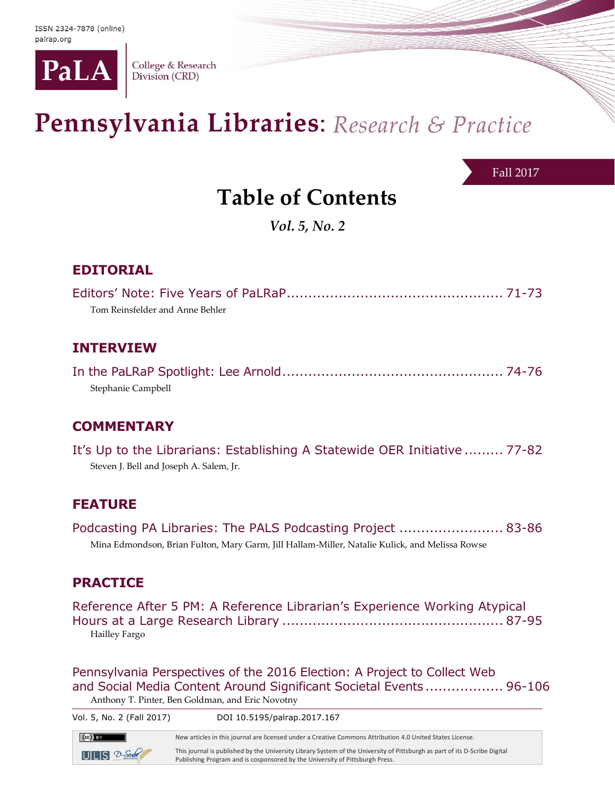

College & Research Division (CRD)

# Pennsylvania Libraries: Research & Practice

Fall 2017

# **Table of Contents**

*Vol. 5, No. 2*

# **EDITORIAL**

| Tom Reinsfelder and Anne Behler |  |
|---------------------------------|--|

### **INTERVIEW**

In the PaLRaP Spotlight: Lee Arnold................................................... 74-76 Stephanie Campbell

# **COMMENTARY**

It's Up to the Librarians: Establishing A Statewide OER Initiative ......... 77-82 Steven J. Bell and Joseph A. Salem, Jr.

### **FEATURE**

Podcasting PA Libraries: The PALS Podcasting Project ........................ 83-86 Mina Edmondson, Brian Fulton, Mary Garm, Jill Hallam-Miller, Natalie Kulick, and Melissa Rowse

### **PRACTICE**

Reference After 5 PM: A Reference Librarian's Experience Working Atypical Hours at a Large Research Library ................................................... 87-95 Hailley Fargo

Pennsylvania Perspectives of the 2016 Election: A Project to Collect Web and Social Media Content Around Significant Societal Events .................. 96-106 Anthony T. Pinter, Ben Goldman, and Eric Novotny

| Vol. 5, No. 2 (Fall 2017) | DOI 10.5195/palrap.2017.167                                                                                                                                                                                |
|---------------------------|------------------------------------------------------------------------------------------------------------------------------------------------------------------------------------------------------------|
| $\left($ CC $\right)$ BY  | New articles in this journal are licensed under a Creative Commons Attribution 4.0 United States License.                                                                                                  |
| $UILS$ $2-$ Soule         | This journal is published by the University Library System of the University of Pittsburgh as part of its D-Scribe Digital<br>Publishing Program and is cosponsored by the University of Pittsburgh Press. |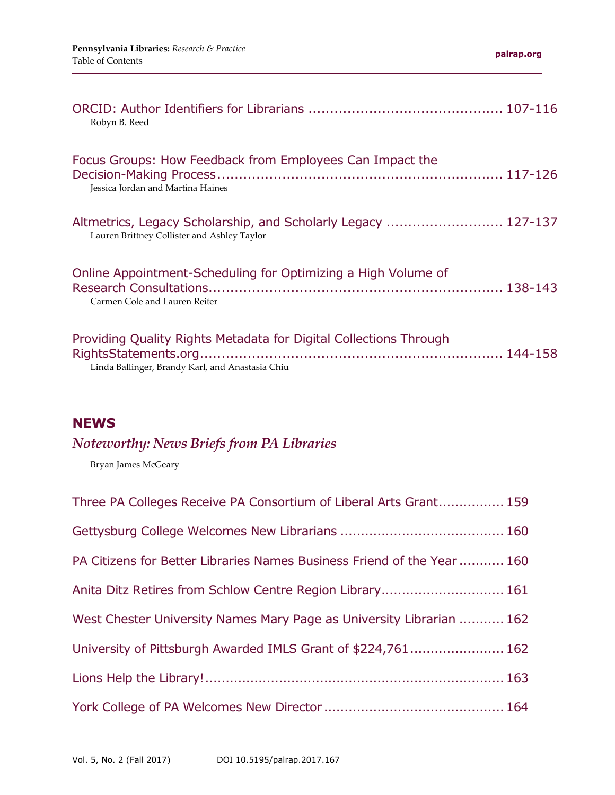| Robyn B. Reed                                                                                                         |  |
|-----------------------------------------------------------------------------------------------------------------------|--|
| Focus Groups: How Feedback from Employees Can Impact the<br>Jessica Jordan and Martina Haines                         |  |
| Altmetrics, Legacy Scholarship, and Scholarly Legacy  127-137<br>Lauren Brittney Collister and Ashley Taylor          |  |
| Online Appointment-Scheduling for Optimizing a High Volume of<br>Carmen Cole and Lauren Reiter                        |  |
| Providing Quality Rights Metadata for Digital Collections Through<br>Linda Ballinger, Brandy Karl, and Anastasia Chiu |  |

## **NEWS**

# *Noteworthy: News Briefs from PA Libraries*

Bryan James McGeary

| Three PA Colleges Receive PA Consortium of Liberal Arts Grant 159       |
|-------------------------------------------------------------------------|
|                                                                         |
| PA Citizens for Better Libraries Names Business Friend of the Year  160 |
| Anita Ditz Retires from Schlow Centre Region Library 161                |
| West Chester University Names Mary Page as University Librarian  162    |
| University of Pittsburgh Awarded IMLS Grant of \$224,761 162            |
|                                                                         |
|                                                                         |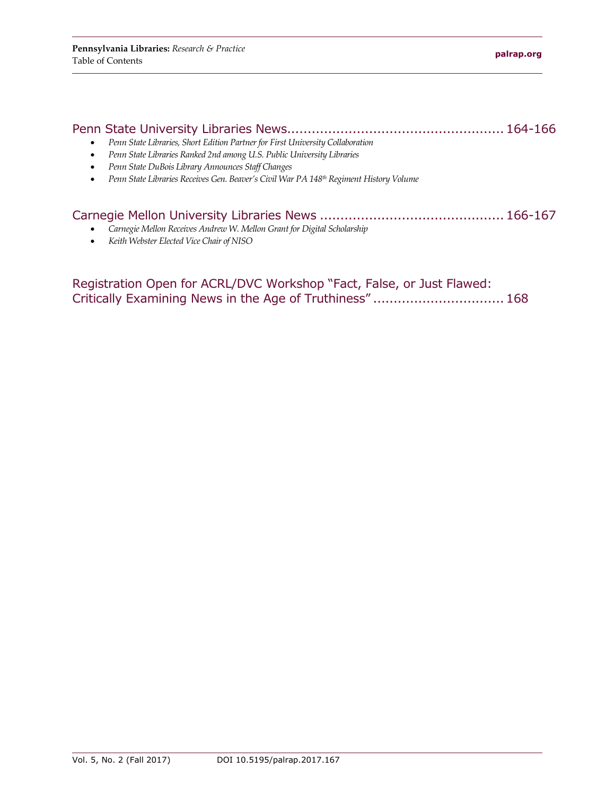| Penn State Libraries, Short Edition Partner for First University Collaboration                          |  |
|---------------------------------------------------------------------------------------------------------|--|
| Penn State Libraries Ranked 2nd among U.S. Public University Libraries                                  |  |
| Penn State DuBois Library Announces Staff Changes<br>٠                                                  |  |
| Penn State Libraries Receives Gen. Beaver's Civil War PA 148 <sup>th</sup> Regiment History Volume<br>٠ |  |
|                                                                                                         |  |
|                                                                                                         |  |

- *Carnegie Mellon Receives Andrew W. Mellon Grant for Digital Scholarship*
- *Keith Webster Elected Vice Chair of NISO*

Registration Open for ACRL/DVC Workshop "Fact, False, or Just Flawed: Critically Examining News in the Age of Truthiness" ................................168